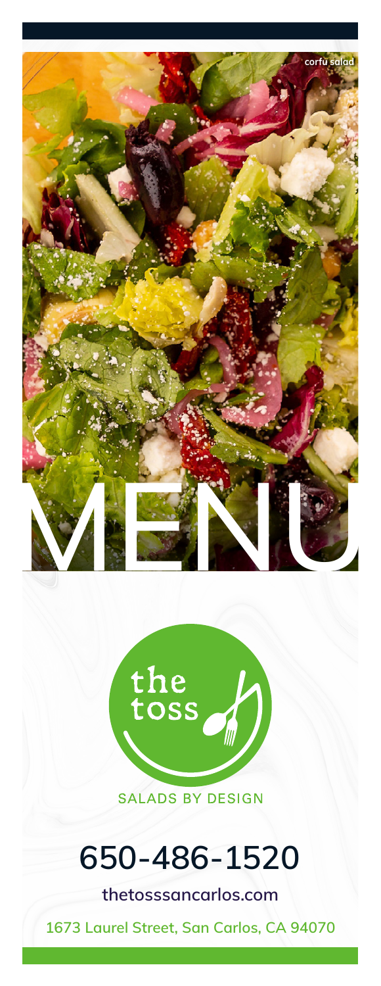



# 650-486-1520

thetosssancarlos.com

1673 Laurel Street, San Carlos, CA 94070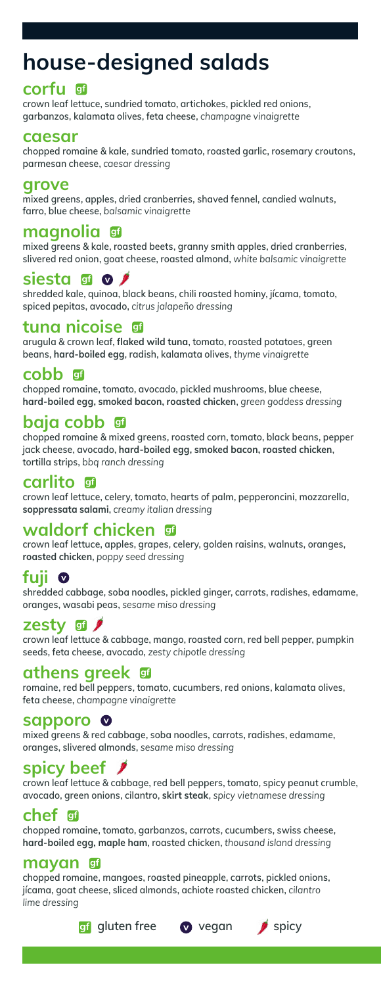## house-designed salads

#### corfu

crown leaf lettuce, sundried tomato, artichokes, pickled red onions, garbanzos, kalamata olives, feta cheese, *champagne vinaigrette*

#### caesar

chopped romaine & kale, sundried tomato, roasted garlic, rosemary croutons, parmesan cheese, *caesar dressing*

#### grove

mixed greens, apples, dried cranberries, shaved fennel, candied walnuts, farro, blue cheese, *balsamic vinaigrette*

#### magnolia

mixed greens & kale, roasted beets, granny smith apples, dried cranberries, slivered red onion, goat cheese, roasted almond, *white balsamic vinaigrette* 

siesta silosta sharedded kale.<br>Shredded kale, quinoa, black beans, chili roasted hominy, jícama, tomato, spiced pepitas, avocado, *citrus jalapeño dressing*

#### tuna nicoise

arugula & crown leaf, flaked wild tuna, tomato, roasted potatoes, green beans, hard-boiled egg, radish, kalamata olives, *thyme vinaigrette*

#### cobb 団

chopped romaine, tomato, avocado, pickled mushrooms, blue cheese, hard-boiled egg, smoked bacon, roasted chicken, *green goddess dressing*

#### baja cobb gf

chopped romaine & mixed greens, roasted corn, tomato, black beans, pepper jack cheese, avocado, hard-boiled egg, smoked bacon, roasted chicken, tortilla strips, *bbq ranch dressing*

#### carlito

crown leaf lettuce, celery, tomato, hearts of palm, pepperoncini, mozzarella, soppressata salami, *creamy italian dressing*

#### waldorf chicken

crown leaf lettuce, apples, grapes, celery, golden raisins, walnuts, oranges, roasted chicken, *poppy seed dressing*

## fuji **O**

shredded cabbage, soba noodles, pickled ginger, carrots, radishes, edamame, oranges, wasabi peas, *sesame miso dressing*

#### zesty 団 *J*

crown leaf lettuce & cabbage, mango, roasted corn, red bell pepper, pumpkin seeds, feta cheese, avocado, *zesty chipotle dressing*

#### athens greek

romaine, red bell peppers, tomato, cucumbers, red onions, kalamata olives, feta cheese, *champagne vinaigrette*

#### sapporo 0

mixed greens & red cabbage, soba noodles, carrots, radishes, edamame, oranges, slivered almonds, *sesame miso dressing*

#### spicy beef

crown leaf lettuce & cabbage, red bell peppers, tomato, spicy peanut crumble, avocado, green onions, cilantro, skirt steak, *spicy vietnamese dressing*

#### chef ∥gf

chopped romaine, tomato, garbanzos, carrots, cucumbers, swiss cheese, hard-boiled egg, maple ham, roasted chicken, *thousand island dressing*

#### mayan

chopped romaine, mangoes, roasted pineapple, carrots, pickled onions, jícama, goat cheese, sliced almonds, achiote roasted chicken, *cilantro lime dressing*

gi gluten free  $\bullet$  vegan  $\bullet$  spicy



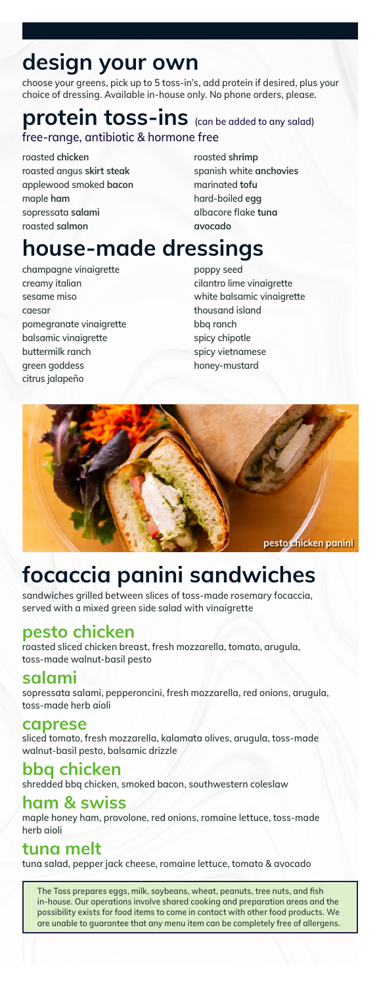# design your own

choose your greens, pick up to 5 toss-in's, add protein if desired, plus your choice of dressing. Available in-house only. No phone orders, please.

### protein toss-ins (can be added to any salad) free-range, antibiotic & hormone free

roasted chicken roasted angus skirt steak applewood smoked bacon maple ham sopressata salami roasted salmon

roasted shrimp spanish white anchovies marinated tofu hard-boiled egg albacore flake tuna avocado

## house-made dressings

champagne vinaigrette creamy italian sesame miso caesar pomegranate vinaigrette balsamic vinaigrette buttermilk ranch green goddess citrus jalapeño

poppy seed cilantro lime vinaigrette white balsamic vinaigrette thousand island bbq ranch spicy chipotle spicy vietnamese honey-mustard



## focaccia panini sandwiches

sandwiches grilled between slices of toss-made rosemary focaccia, served with a mixed green side salad with vinaigrette

#### pesto chicken

roasted sliced chicken breast, fresh mozzarella, tomato, arugula, toss-made walnut-basil pesto

#### salami

sopressata salami, pepperoncini, fresh mozzarella, red onions, arugula, toss-made herb aioli

#### caprese

sliced tomato, fresh mozzarella, kalamata olives, arugula, toss-made walnut-basil pesto, balsamic drizzle

#### bbq chicken shredded bbq chicken, smoked bacon, southwestern coleslaw

#### ham & swiss

maple honey ham, provolone, red onions, romaine lettuce, toss-made herb aioli

## tuna melt

tuna salad, pepper jack cheese, romaine lettuce, tomato & avocado

The Toss prepares eggs, milk, soybeans, wheat, peanuts, tree nuts, and fish in-house. Our operations involve shared cooking and preparation areas and the possibility exists for food items to come in contact with other food products. We are unable to guarantee that any menu item can be completely free of allergens.